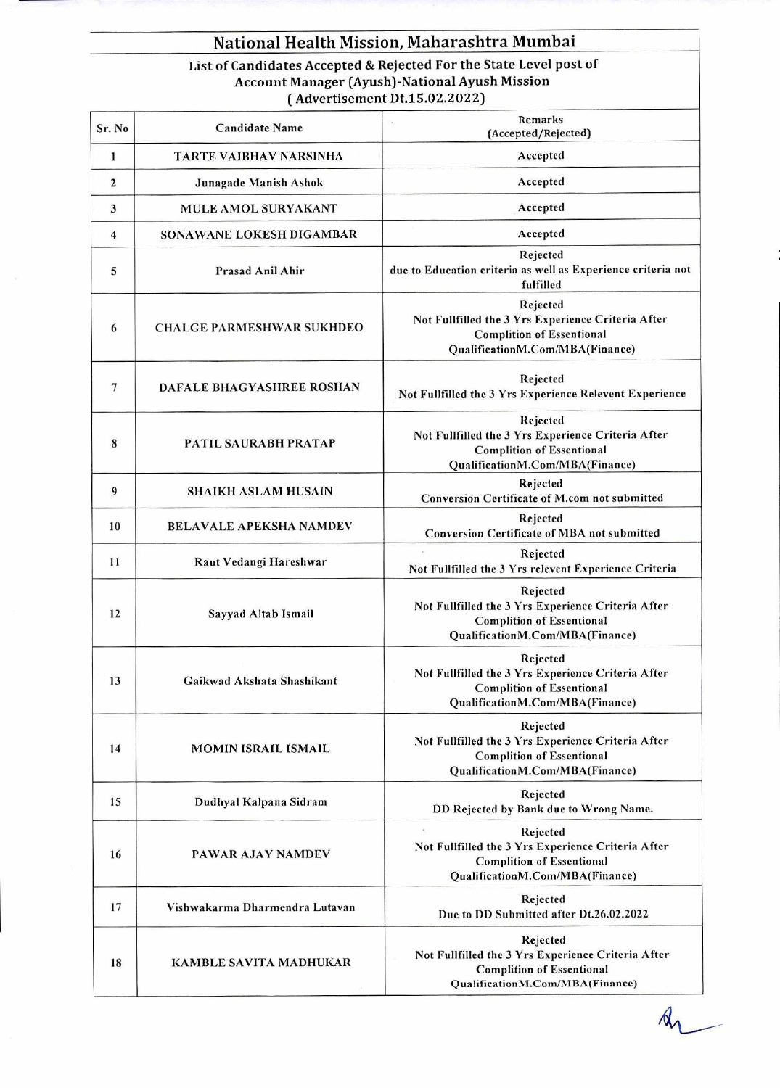## **National Health Mission, Maharashtra Mumbai**

**List of Candidates Accepted & Rejected For the State Level post of Account Manager (Ayush)-National Ayush Mission ( Advertisement Dt.15.02.2022)** 

| Sr. No   | <b>Candidate Name</b>            | Remarks<br>o.<br>(Accepted/Rejected)                                                                                                  |
|----------|----------------------------------|---------------------------------------------------------------------------------------------------------------------------------------|
| $\bf{1}$ | TARTE VAIBHAV NARSINHA           | Accepted                                                                                                                              |
| 2        | Junagade Manish Ashok            | Accepted                                                                                                                              |
| 3        | <b>MULE AMOL SURYAKANT</b>       | Accepted                                                                                                                              |
| 4        | <b>SONAWANE LOKESH DIGAMBAR</b>  | Accepted                                                                                                                              |
| 5        | Prasad Anil Ahir                 | Rejected<br>due to Education criteria as well as Experience criteria not<br>fulfilled                                                 |
| 6        | <b>CHALGE PARMESHWAR SUKHDEO</b> | Rejected<br>Not Fullfilled the 3 Yrs Experience Criteria After<br><b>Complition of Essentional</b><br>QualificationM.Com/MBA(Finance) |
| 7        | DAFALE BHAGYASHREE ROSHAN        | Rejected<br>Not Fullfilled the 3 Yrs Experience Relevent Experience                                                                   |
| 8        | PATIL SAURABH PRATAP             | Rejected<br>Not Fullfilled the 3 Yrs Experience Criteria After<br><b>Complition of Essentional</b><br>QualificationM.Com/MBA(Finance) |
| 9        | <b>SHAIKH ASLAM HUSAIN</b>       | Rejected<br>Conversion Certificate of M.com not submitted                                                                             |
| 10       | <b>BELAVALE APEKSHA NAMDEV</b>   | Rejected<br>Conversion Certificate of MBA not submitted                                                                               |
| 11       | Raut Vedangi Hareshwar           | Rejected<br>Not Fullfilled the 3 Yrs relevent Experience Criteria                                                                     |
| 12       | Sayyad Altab Ismail              | Rejected<br>Not Fullfilled the 3 Yrs Experience Criteria After<br><b>Complition of Essentional</b><br>QualificationM.Com/MBA(Finance) |
| 13       | Gaikwad Akshata Shashikant       | Rejected<br>Not Fullfilled the 3 Yrs Experience Criteria After<br><b>Complition of Essentional</b><br>QualificationM.Com/MBA(Finance) |
| 14       | <b>MOMIN ISRAIL ISMAIL</b>       | Rejected<br>Not Fullfilled the 3 Yrs Experience Criteria After<br><b>Complition of Essentional</b><br>QualificationM.Com/MBA(Finance) |
| 15       | Dudhyal Kalpana Sidram           | Rejected<br>DD Rejected by Bank due to Wrong Name.                                                                                    |
| 16       | <b>PAWAR AJAY NAMDEV</b>         | Rejected<br>Not Fullfilled the 3 Yrs Experience Criteria After<br><b>Complition of Essentional</b><br>QualificationM.Com/MBA(Finance) |
| 17       | Vishwakarma Dharmendra Lutavan   | Rejected<br>Due to DD Submitted after Dt.26.02.2022                                                                                   |
| 18       | <b>KAMBLE SAVITA MADHUKAR</b>    | Rejected<br>Not Fullfilled the 3 Yrs Experience Criteria After<br><b>Complition of Essentional</b><br>QualificationM.Com/MBA(Finance) |

 $\n *A*$